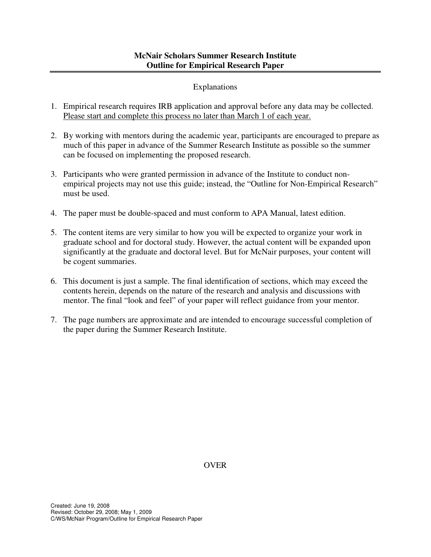# Explanations

- 1. Empirical research requires IRB application and approval before any data may be collected. Please start and complete this process no later than March 1 of each year.
- 2. By working with mentors during the academic year, participants are encouraged to prepare as much of this paper in advance of the Summer Research Institute as possible so the summer can be focused on implementing the proposed research.
- 3. Participants who were granted permission in advance of the Institute to conduct nonempirical projects may not use this guide; instead, the "Outline for Non-Empirical Research" must be used.
- 4. The paper must be double-spaced and must conform to APA Manual, latest edition.
- 5. The content items are very similar to how you will be expected to organize your work in graduate school and for doctoral study. However, the actual content will be expanded upon significantly at the graduate and doctoral level. But for McNair purposes, your content will be cogent summaries.
- 6. This document is just a sample. The final identification of sections, which may exceed the contents herein, depends on the nature of the research and analysis and discussions with mentor. The final "look and feel" of your paper will reflect guidance from your mentor.
- 7. The page numbers are approximate and are intended to encourage successful completion of the paper during the Summer Research Institute.

OVER